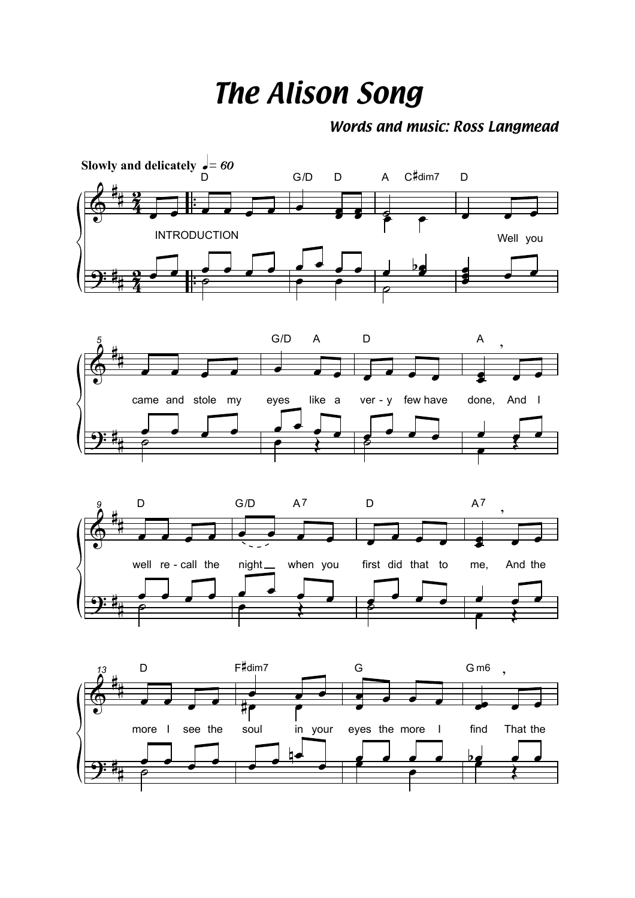## *The Alison Song*

## *Words and music: Ross Langmead*